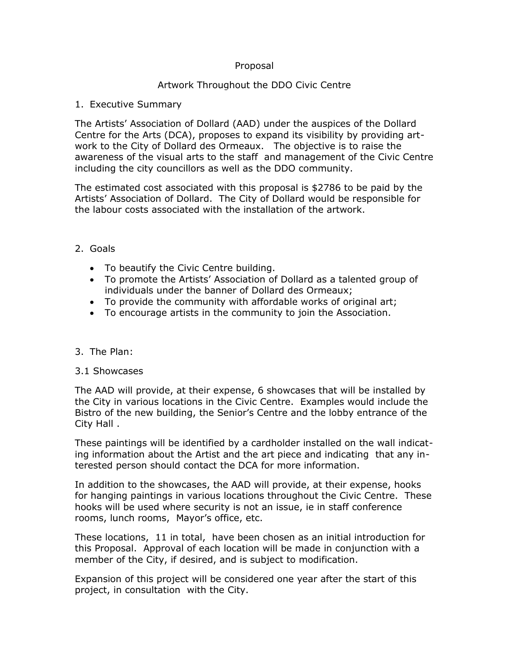## Proposal

# Artwork Throughout the DDO Civic Centre

#### 1. Executive Summary

The Artists' Association of Dollard (AAD) under the auspices of the Dollard Centre for the Arts (DCA), proposes to expand its visibility by providing artwork to the City of Dollard des Ormeaux. The objective is to raise the awareness of the visual arts to the staff and management of the Civic Centre including the city councillors as well as the DDO community.

The estimated cost associated with this proposal is \$2786 to be paid by the Artists' Association of Dollard. The City of Dollard would be responsible for the labour costs associated with the installation of the artwork.

## 2. Goals

- · To beautify the Civic Centre building.
- · To promote the Artists' Association of Dollard as a talented group of individuals under the banner of Dollard des Ormeaux;
- · To provide the community with affordable works of original art;
- · To encourage artists in the community to join the Association.

## 3. The Plan:

## 3.1 Showcases

The AAD will provide, at their expense, 6 showcases that will be installed by the City in various locations in the Civic Centre. Examples would include the Bistro of the new building, the Senior's Centre and the lobby entrance of the City Hall .

These paintings will be identified by a cardholder installed on the wall indicating information about the Artist and the art piece and indicating that any interested person should contact the DCA for more information.

In addition to the showcases, the AAD will provide, at their expense, hooks for hanging paintings in various locations throughout the Civic Centre. These hooks will be used where security is not an issue, ie in staff conference rooms, lunch rooms, Mayor's office, etc.

These locations, 11 in total, have been chosen as an initial introduction for this Proposal. Approval of each location will be made in conjunction with a member of the City, if desired, and is subject to modification.

Expansion of this project will be considered one year after the start of this project, in consultation with the City.